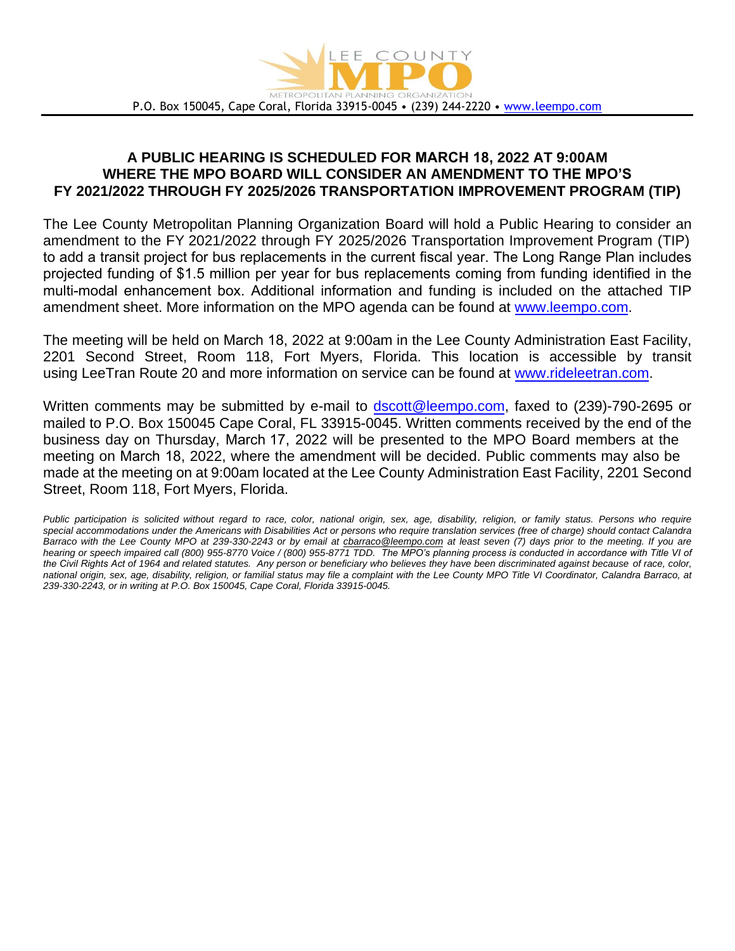

## **A PUBLIC HEARING IS SCHEDULED FOR MARCH 18, 2022 AT 9:00AM WHERE THE MPO BOARD WILL CONSIDER AN AMENDMENT TO THE MPO'S FY 2021/2022 THROUGH FY 2025/2026 TRANSPORTATION IMPROVEMENT PROGRAM (TIP)**

The Lee County Metropolitan Planning Organization Board will hold a Public Hearing to consider an amendment to the FY 2021/2022 through FY 2025/2026 Transportation Improvement Program (TIP) to add a transit project for bus replacements in the current fiscal year. The Long Range Plan includes projected funding of \$1.5 million per year for bus replacements coming from funding identified in the multi-modal enhancement box. Additional information and funding is included on the attached TIP amendment sheet. More information on the MPO agenda can be found at [www.leempo.com.](http://www.leempo.com/) 

The meeting will be held on March 18, 2022 at 9:00am in the Lee County Administration East Facility, 2201 Second Street, Room 118, Fort Myers, Florida. This location is accessible by transit using LeeTran Route 20 and more information on service can be found at [www.rideleetran.com.](http://www.rideleetran.com/)

Written comments may be submitted by e-mail to [dscott@leempo.com,](mailto:dscott@leempo.com) faxed to (239)-790-2695 or mailed to P.O. Box 150045 Cape Coral, FL 33915-0045. Written comments received by the end of the business day on Thursday, March 17, 2022 will be presented to the MPO Board members at the meeting on March 18, 2022, where the amendment will be decided. Public comments may also be made at the meeting on at 9:00am located at the Lee County Administration East Facility, 2201 Second Street, Room 118, Fort Myers, Florida.

*Public participation is solicited without regard to race, color, national origin, sex, age, disability, religion, or family status. Persons who require special accommodations under the Americans with Disabilities Act or persons who require translation services (free of charge) should contact Calandra Barraco with the Lee County MPO at 239-330-2243 or by email at [cbarraco@leempo.com](mailto:cbarraco@leempo.com) at least seven (7) days prior to the meeting. If you are hearing or speech impaired call (800) 955-8770 Voice / (800) 955-8771 TDD. The MPO's planning process is conducted in accordance with Title VI of the Civil Rights Act of 1964 and related statutes. Any person or beneficiary who believes they have been discriminated against because of race, color, national origin, sex, age, disability, religion, or familial status may file a complaint with the Lee County MPO Title VI Coordinator, Calandra Barraco, at 239-330-2243, or in writing at P.O. Box 150045, Cape Coral, Florida 33915-0045.*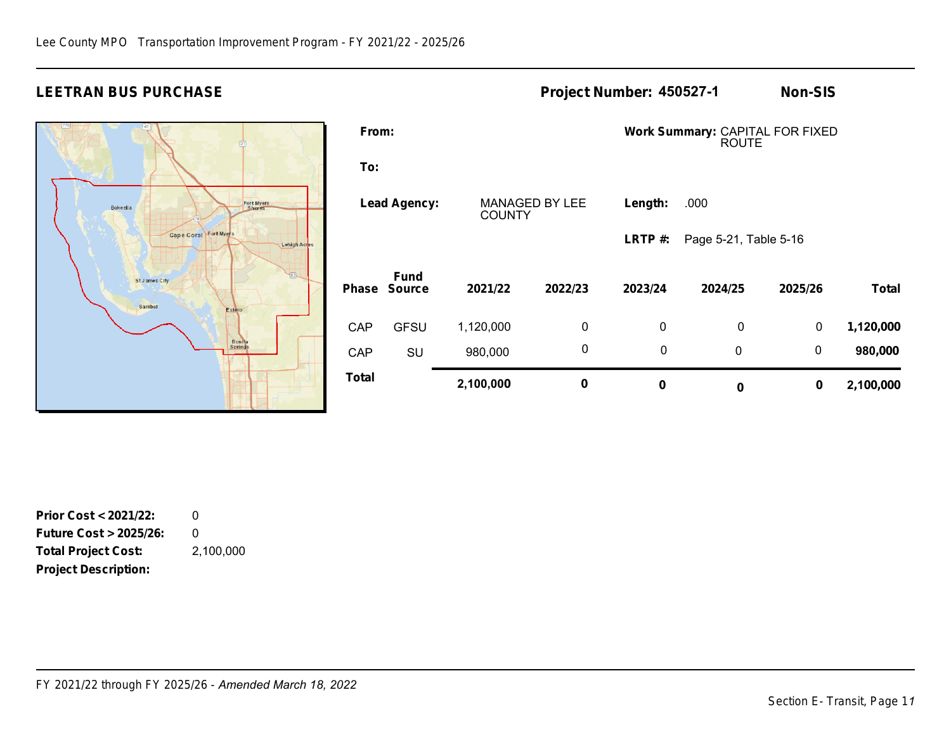## **LEETRAN BUS PURCHASE Project Number: Non-SIS 450527-1**



| From:               |                              |               |                       | Work Summary: CAPITAL FOR FIXED<br><b>ROUTE</b> |                       |             |              |  |  |  |  |  |
|---------------------|------------------------------|---------------|-----------------------|-------------------------------------------------|-----------------------|-------------|--------------|--|--|--|--|--|
| To:                 |                              |               |                       |                                                 |                       |             |              |  |  |  |  |  |
| <b>Lead Agency:</b> |                              | <b>COUNTY</b> | <b>MANAGED BY LEE</b> | Length:                                         | .000                  |             |              |  |  |  |  |  |
|                     |                              |               |                       | LRTP $#$ :                                      | Page 5-21, Table 5-16 |             |              |  |  |  |  |  |
| Phase               | <b>Fund</b><br><b>Source</b> | 2021/22       | 2022/23               | 2023/24                                         | 2024/25               | 2025/26     | <b>Total</b> |  |  |  |  |  |
| <b>CAP</b>          | <b>GFSU</b>                  | 1,120,000     | $\mathbf 0$           | $\mathbf 0$                                     | 0                     | 0           | 1,120,000    |  |  |  |  |  |
| <b>CAP</b>          | SU                           | 980,000       | 0                     | $\mathbf 0$                                     | $\mathbf 0$           | $\mathbf 0$ | 980,000      |  |  |  |  |  |
| Total               |                              | 2,100,000     | 0                     | $\bf{0}$                                        | 0                     | $\mathbf 0$ | 2,100,000    |  |  |  |  |  |

**Prior Cost < 2021/22: Future Cost > 2025/26: Total Project Cost: Project Description:**  0 0 2,100,000

*FY 2021/22 through FY 2025/26 - Amended March 18, 2022*